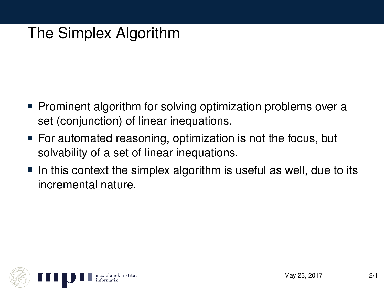# The Simplex Algorithm

- Prominent algorithm for solving optimization problems over a set (conjunction) of linear inequations.
- For automated reasoning, optimization is not the focus, but solvability of a set of linear inequations.
- $\blacksquare$  In this context the simplex algorithm is useful as well, due to its incremental nature.

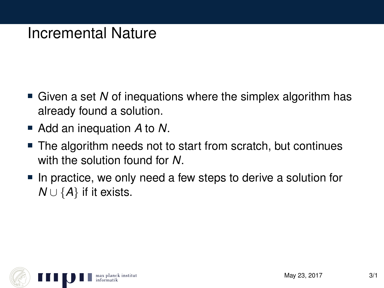### Incremental Nature

- Given a set *N* of inequations where the simplex algorithm has already found a solution.
- Add an inequation *A* to *N*.
- The algorithm needs not to start from scratch, but continues with the solution found for *N*.
- In practice, we only need a few steps to derive a solution for *N* ∪ {*A*} if it exists.

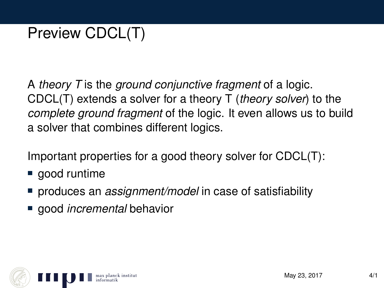# Preview CDCL(T)

A *theory T* is the *ground conjunctive fragment* of a logic. CDCL(T) extends a solver for a theory T (*theory solver*) to the *complete ground fragment* of the logic. It even allows us to build a solver that combines different logics.

Important properties for a good theory solver for CDCL(T):

- good runtime
- produces an *assignment/model* in case of satisfiability
- good *incremental* behavior

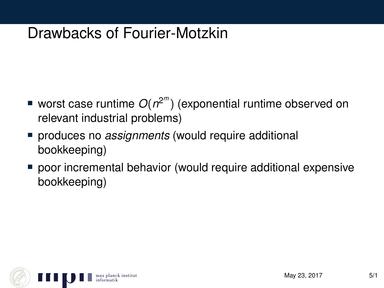## Drawbacks of Fourier-Motzkin

- worst case runtime *O*(*n* 2 *m* ) (exponential runtime observed on relevant industrial problems)
- produces no *assignments* (would require additional bookkeeping)
- poor incremental behavior (would require additional expensive bookkeeping)

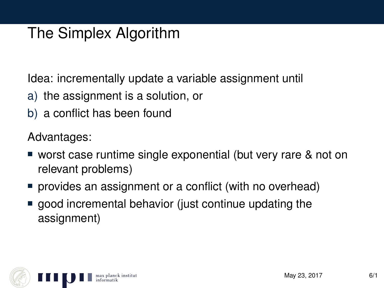# The Simplex Algorithm

Idea: incrementally update a variable assignment until

- a) the assignment is a solution, or
- b) a conflict has been found

Advantages:

- worst case runtime single exponential (but very rare & not on relevant problems)
- **provides an assignment or a conflict (with no overhead)**
- good incremental behavior (just continue updating the assignment)

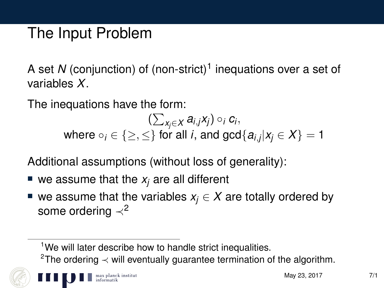## The Input Problem

A set *N* (conjunction) of (non-strict)<sup>1</sup> inequations over a set of variables *X*.

The inequations have the form:

 $\left(\sum_{X_j\in\mathcal{X}}a_{i,j}x_j\right)\circ_i c_i,$ where  $\circ_i \in \{\geq, \leq\}$  for all *i*, and  $\gcd\{a_{i,j}|x_j \in X\} = 1$ 

Additional assumptions (without loss of generality):

- $\blacksquare$  we assume that the  $x_i$  are all different
- we assume that the variables  $x_i \in X$  are totally ordered by some ordering  $\prec^2$

<sup>1</sup>We will later describe how to handle strict inequalities.

<sup>2</sup>The ordering  $\prec$  will eventually guarantee termination of the algorithm.

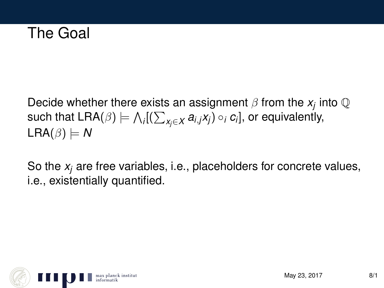## The Goal

Decide whether there exists an assignment  $\beta$  from the  $x_j$  into  $\mathbb Q$  $\mathsf{such\ that\ LRA}(\beta)\models\bigwedge_i[(\sum_{\mathsf{x}_j\in\mathsf{X}}a_{i,j}\mathsf{x}_j)\circ_i\mathsf{c}_i],$  or equivalently,  $LRA(\beta) \models N$ 

So the *x<sup>j</sup>* are free variables, i.e., placeholders for concrete values, i.e., existentially quantified.

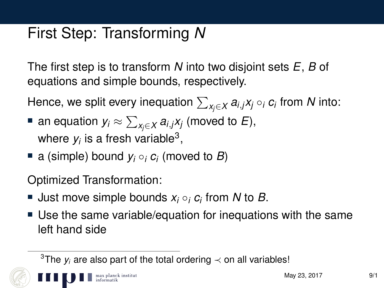# First Step: Transforming *N*

The first step is to transform *N* into two disjoint sets *E*, *B* of equations and simple bounds, respectively.

Hence, we split every inequation P *xj*∈*X ai*,*jx<sup>j</sup>* ◦*<sup>i</sup> c<sup>i</sup>* from *N* into:

- an equation  $y_i \approx \sum_{x_j \in X} a_{i,j} x_j$  (moved to  $E$ ), where  $y_i$  is a fresh variable<sup>3</sup>,
- a (simple) bound *y<sup>i</sup>* ◦*<sup>i</sup> c<sup>i</sup>* (moved to *B*)

lanck institut

Optimized Transformation:

- Just move simple bounds *x<sup>i</sup>* ◦*<sup>i</sup> c<sup>i</sup>* from *N* to *B*.
- Use the same variable/equation for inequations with the same left hand side

<sup>&</sup>lt;sup>3</sup>The  $y_i$  are also part of the total ordering  $\prec$  on all variables!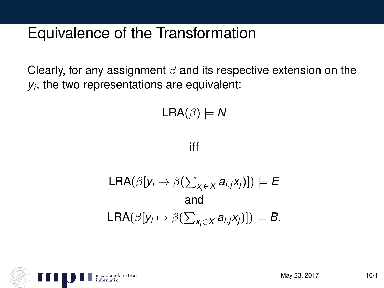## Equivalence of the Transformation

Clearly, for any assignment  $\beta$  and its respective extension on the *yi* , the two representations are equivalent:

 $LRA(\beta) \models N$ 

iff

$$
\mathsf{LRA}(\beta[y_i \mapsto \beta(\sum_{x_j \in X} a_{i,j}x_j)]) \models E
$$
  
and  

$$
\mathsf{LRA}(\beta[y_i \mapsto \beta(\sum_{x_j \in X} a_{i,j}x_j)]) \models B.
$$

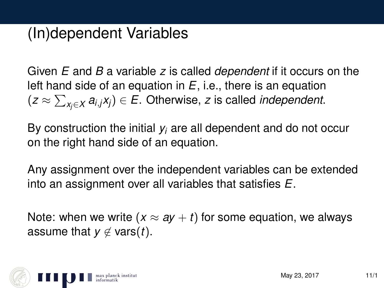## (In)dependent Variables

Given *E* and *B* a variable *z* is called *dependent* if it occurs on the left hand side of an equation in *E*, i.e., there is an equation (*z* ≈ P *xj*∈*X ai*,*jxj*) ∈ *E*. Otherwise, *z* is called *independent*.

By construction the initial *y<sup>i</sup>* are all dependent and do not occur on the right hand side of an equation.

Any assignment over the independent variables can be extended into an assignment over all variables that satisfies *E*.

Note: when we write  $(x \approx ay + t)$  for some equation, we always assume that  $y \notin \text{vars}(t)$ .

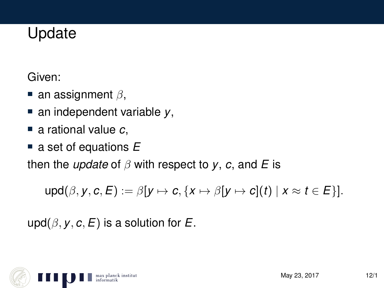## Update

Given:

- an assignment  $\beta$ ,
- an independent variable *y*,
- a rational value *c*.
- a set of equations E

then the *update* of β with respect to *y*, *c*, and *E* is

 $\text{upd}(\beta, \gamma, c, E) := \beta[\gamma \mapsto c, \{x \mapsto \beta[\gamma \mapsto c](t) \mid x \approx t \in E\}].$ 

upd( $\beta$ ,  $\gamma$ ,  $c$ ,  $E$ ) is a solution for  $E$ .

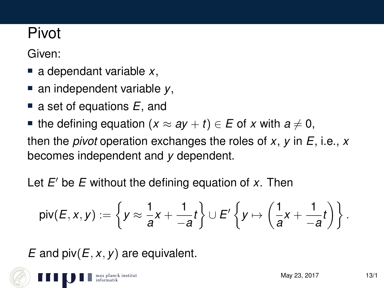# Pivot

Given:

- a dependant variable *x*,
- an independent variable *y*,
- a set of equations E, and
- the defining equation  $(x \approx ay + t) \in E$  of *x* with  $a \neq 0$ ,

then the *pivot* operation exchanges the roles of *x*, *y* in *E*, i.e., *x* becomes independent and *y* dependent.

Let *E'* be *E* without the defining equation of *x*. Then

$$
\mathsf{piv}(E,x,y) := \left\{ y \approx \frac{1}{a}x + \frac{1}{-a}t \right\} \cup E' \left\{ y \mapsto \left( \frac{1}{a}x + \frac{1}{-a}t \right) \right\}.
$$

*E* and piv(*E*, *x*, *y*) are equivalent.

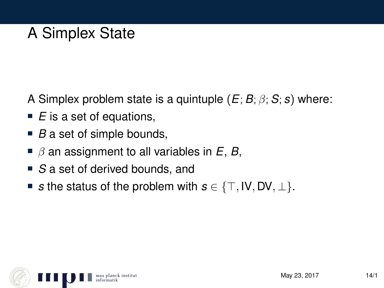# A Simplex State

A Simplex problem state is a quintuple  $(E; B; \beta; S; s)$  where:

- *E* is a set of equations,
- *B* a set of simple bounds,
- $\blacksquare$   $\beta$  an assignment to all variables in  $E$ ,  $B$ ,
- *S* a set of derived bounds, and
- **■** *s* the status of the problem with  $s \in \{\top, \text{IV}, \text{DV}, \bot\}.$

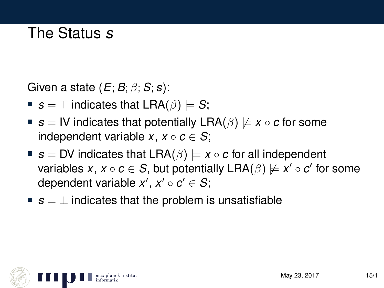## The Status *s*

Given a state (*E*; *B*; β; *S*; *s*):

- *s* =  $\top$  indicates that LRA( $\beta$ )  $\models$  *S*;
- **■**  $s =$  IV indicates that potentially LRA( $\beta$ )  $\nvdash x \circ c$  for some independent variable *x*,  $x \circ c \in S$ ;
- **■**  $s = DV$  indicates that  $LRA(\beta) \models x \circ c$  for all independent variables *x*,  $x \circ c \in S$ , but potentially  $\mathsf{LRA}(\beta) \not\models x' \circ c'$  for some dependent variable  $x', x' \circ c' \in S;$
- *s* = ⊥ indicates that the problem is unsatisfiable

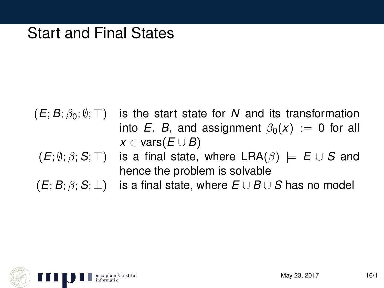### Start and Final States

- $(E; B; \beta_0; \emptyset; \top)$  is the start state for *N* and its transformation into *E*, *B*, and assignment  $\beta_0(x) := 0$  for all  $x \in \text{vars}(E \cup B)$
- $(E; \emptyset; \beta; S; \top)$  is a final state, where  $LRA(\beta) \models E \cup S$  and hence the problem is solvable
- $(E; B; \beta; S; \perp)$  is a final state, where  $E \cup B \cup S$  has no model

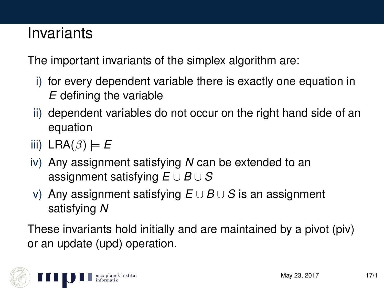### Invariants

The important invariants of the simplex algorithm are:

- i) for every dependent variable there is exactly one equation in *E* defining the variable
- ii) dependent variables do not occur on the right hand side of an equation
- iii) LRA $(\beta) \models E$
- iv) Any assignment satisfying *N* can be extended to an assignment satisfying *E* ∪ *B* ∪ *S*
- v) Any assignment satisfying *E* ∪ *B* ∪ *S* is an assignment satisfying *N*

These invariants hold initially and are maintained by a pivot (piv) or an update (upd) operation.

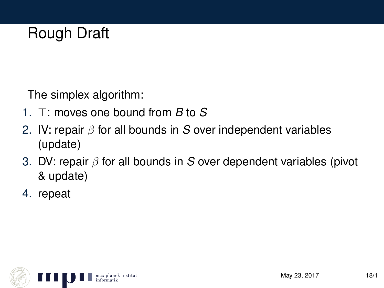# Rough Draft

The simplex algorithm:

- 1.  $\top$ : moves one bound from *B* to *S*
- 2. IV: repair β for all bounds in *S* over independent variables (update)
- 3. DV: repair β for all bounds in *S* over dependent variables (pivot & update)
- 4. repeat

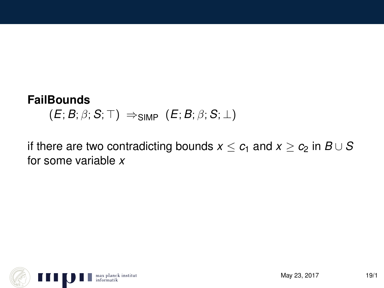#### **FailBounds**

 $(E; B; \beta; S; \top) \Rightarrow$ SIMP  $(E; B; \beta; S; \bot)$ 

if there are two contradicting bounds  $x \leq c_1$  and  $x \geq c_2$  in  $B \cup S$ for some variable *x*

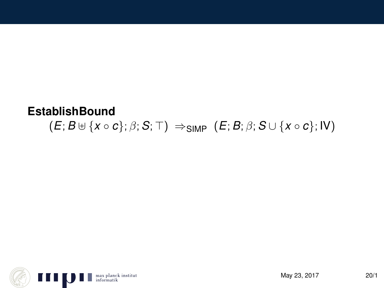#### **EstablishBound**  $(E; B \cup \{x \circ c\}; \beta; S; \top) \Rightarrow$ SIMP  $(E; B; \beta; S \cup \{x \circ c\}; W)$

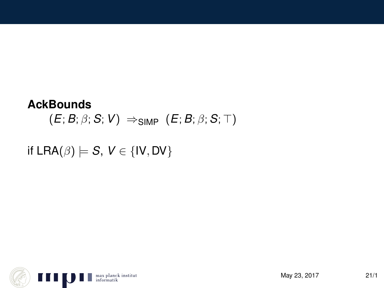#### **AckBounds**

 $(E; B; \beta; S; V) \Rightarrow$ SIMP  $(E; B; \beta; S; \top)$ 

if  $LRA(\beta) \models S, V \in \{IV, DV\}$ 

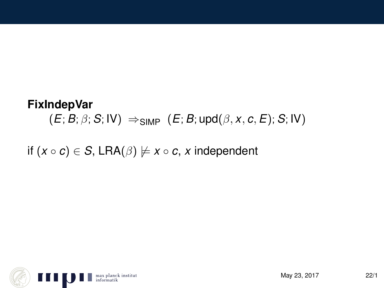#### **FixIndepVar**  $(E; B; \beta; S; IV) \Rightarrow$ SIMP  $(E; B; \text{upd}(\beta, x, c, E); S; IV)$

if  $(x \circ c) \in S$ , LRA $(\beta) \not\models x \circ c$ , *x* independent

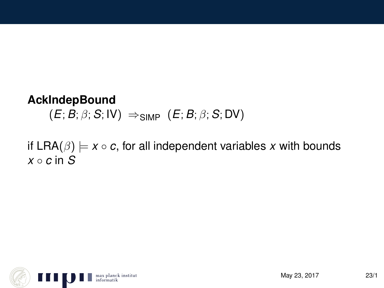#### **AckIndepBound**

 $(E; B; \beta; S; \mathsf{IV}) \Rightarrow$ SIMP  $(E; B; \beta; S; \mathsf{DV})$ 

if  $LRA(\beta) \models x \circ c$ , for all independent variables x with bounds  $x \circ c$  in  $S$ 

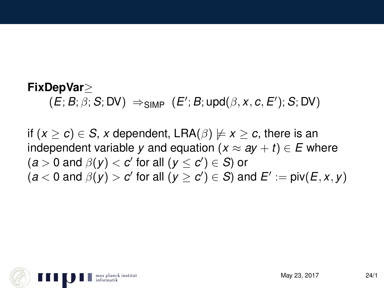#### **FixDepVar**≥

 $(E; B; \beta; S; DV) \Rightarrow_{SIMP} (E'; B; \text{upd}(\beta, x, c, E'); S; DV)$ 

if  $(x > c) \in S$ , *x* dependent, LRA( $\beta$ )  $\nvdash x \ge c$ , there is an independent variable *y* and equation  $(x \approx ay + t) \in E$  where  $(a > 0 \text{ and } \beta(y) < c' \text{ for all } (y \leq c') \in S$ ) or  $(a < 0 \text{ and } \beta(y) > c'$  for all  $(y \ge c') \in S$ ) and  $E' := \text{piv}(E, x, y)$ 

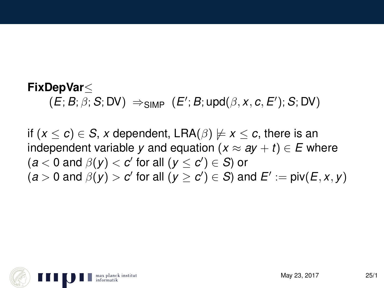#### **FixDepVar**≤  $(E; B; \beta; S; DV) \Rightarrow_{SIMP} (E'; B; \text{upd}(\beta, x, c, E'); S; DV)$

if  $(x < c) \in S$ , *x* dependent, LRA( $\beta$ )  $\nvdash x \le c$ , there is an independent variable *y* and equation  $(x \approx ay + t) \in E$  where  $(a < 0 \text{ and } \beta(y) < c' \text{ for all } (y \leq c') \in S$ ) or  $(a > 0 \text{ and } \beta(y) > c' \text{ for all } (y \ge c') \in S \text{ and } E' := \text{piv}(E, x, y)$ 

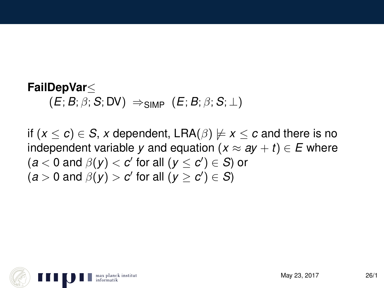#### **FailDepVar**≤  $(E; B; \beta; S; DV) \Rightarrow$ SIMP  $(E; B; \beta; S; \bot)$

if  $(x \le c) \in S$ , *x* dependent, LRA( $\beta$ )  $\nvdash x \le c$  and there is no independent variable *y* and equation  $(x \approx ay + t) \in E$  where  $(a < 0 \text{ and } \beta(y) < c' \text{ for all } (y \leq c') \in S$ ) or  $(a > 0 \text{ and } \beta(y) > c' \text{ for all } (y \ge c') \in S$ 

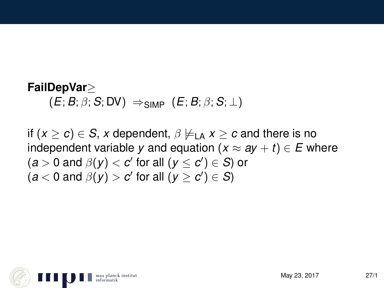# **FailDepVar**≥

 $(E; B; \beta; S; DV) \Rightarrow$ SIMP  $(E; B; \beta; S; \bot)$ 

if  $(x \ge c) \in S$ , *x* dependent,  $\beta \not\models_{\Box A} x \ge c$  and there is no independent variable *y* and equation  $(x \approx ay + t) \in E$  where  $(a > 0 \text{ and } \beta(y) < c' \text{ for all } (y \leq c') \in S$ ) or  $(a < 0 \text{ and } \beta(y) > c' \text{ for all } (y \ge c') \in S$ 

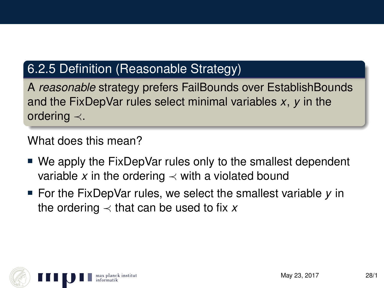#### 6.2.5 Definition (Reasonable Strategy)

A *reasonable* strategy prefers FailBounds over EstablishBounds and the FixDepVar rules select minimal variables *x*, *y* in the ordering ≺.

What does this mean?

- We apply the FixDepVar rules only to the smallest dependent variable x in the ordering  $\prec$  with a violated bound
- For the FixDepVar rules, we select the smallest variable *y* in the ordering  $\prec$  that can be used to fix x

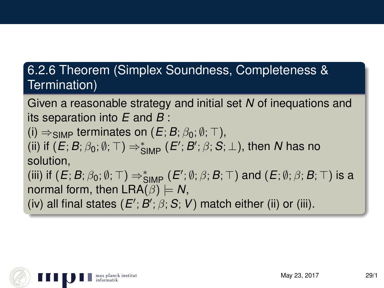#### 6.2.6 Theorem (Simplex Soundness, Completeness & Termination)

Given a reasonable strategy and initial set *N* of inequations and its separation into *E* and *B* :

(i)  $\Rightarrow$  simp terminates on (*E*; *B*;  $\beta_0$ ;  $\emptyset$ ;  $\top$ ). (ii) if  $(E; B; \beta_0; \emptyset; \top) \Rightarrow^*_{\mathsf{SIMP}} (E'; B'; \beta; S; \bot)$ , then *N* has no

#### solution,

(iii) if  $(E; B; \beta_0; \emptyset; \top) \Rightarrow^*_{\mathsf{SIMP}} (E'; \emptyset; \beta; B; \top)$  and  $(E; \emptyset; \beta; B; \top)$  is a normal form, then  $LRA(\beta) \models N$ ,

(iv) all final states  $(E'; B'; \beta; S; V)$  match either (ii) or (iii).